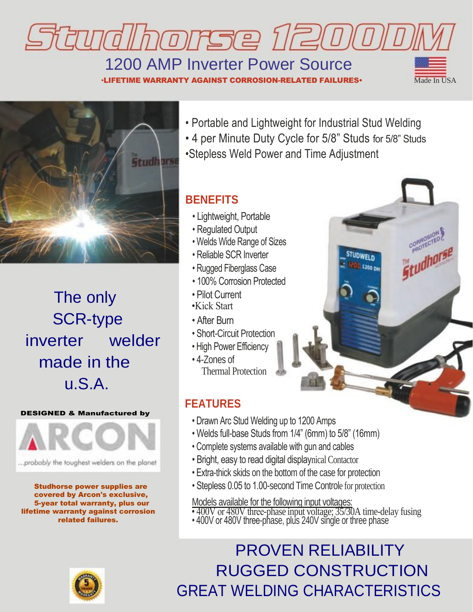

## 1200 AMP Inverter Power Source

•LIFETIME WARRANTY AGAINST CORROSION-RELATED FAILURES•  $\overline{\phantom{a}}$  Made In USA





The only SCR-type inverter welder made in the u.S.A.

#### DESIGNED & Manufactured by



...probably the toughest welders on the planet

Studhorse power supplies are covered by Arcon's exclusive, 5-year total warranty, plus our lifetime warranty against corrosion related failures.

• Portable and Lightweight for Industrial Stud Welding

• 4 per Minute Duty Cycle for 5/8" Studs for 5/8" Studs •Stepless Weld Power and Time Adjustment

> STUDWELD 3200 PM

#### **BENEFITS**

- Lightweight, Portable
- Regulated Output
- Welds Wide Range of Sizes
- Reliable SCR Inverter
- Rugged Fiberglass Case
- 100% Corrosion Protected
- Pilot Current
- •Kick Start
- After Burn
- Short-Circuit Protection
- High Power Efficiency
- 4-Zones of Thermal Protection

### **FEATURES**

- Drawn Arc Stud Welding up to 1200 Amps
- Welds full-base Studs from 1/4" (6mm) to 5/8" (16mm)
- Complete systems available with gun and cables
- Bright, easy to read digital displaynical Contactor
- Extra-thick skids on the bottom of the case for protection
- Stepless 0.05 to 1.00-second Time Controle for protection

Models available for the following input voltages:

- 400V or 480V three-phase input voltage; 35/30A time-delay fusing
- 400V or 480V three-phase, plus 240V single or three phase

### PROVEN RELIABILITY RUGGED CONSTRUCTION GREAT WELDING CHARACTERISTICS